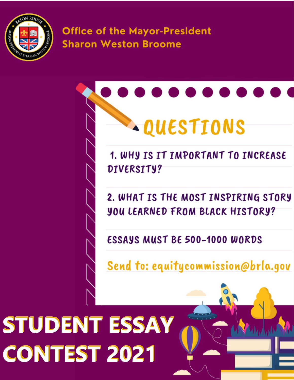

**Office of the Mayor-President Sharon Weston Broome** 



1. WHY IS IT IMPORTANT TO INCREASE DIVERSITY?

2. WHAT IS THE MOST INSPIRING STORY **YOU LEARNED FROM BLACK HISTORY?** 

**ESSAYS MUST BE 500-1000 WORDS** 

Send to: equitycommission@brla.gov

# STUDENT ESSAY **CONTEST 2021**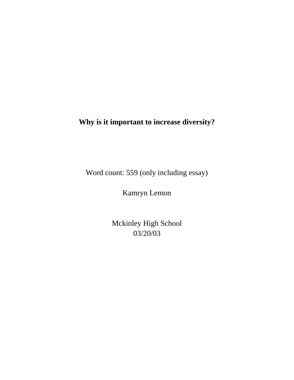## **Why is it important to increase diversity?**

Word count: 559 (only including essay)

Kamryn Lemon

Mckinley High School 03/20/03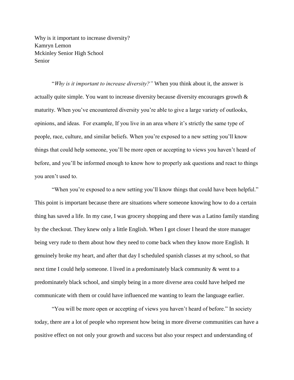Why is it important to increase diversity? Kamryn Lemon Mckinley Senior High School Senior

"*Why is it important to increase diversity?"* When you think about it, the answer is actually quite simple. You want to increase diversity because diversity encourages growth & maturity. When you've encountered diversity you're able to give a large variety of outlooks, opinions, and ideas. For example, If you live in an area where it's strictly the same type of people, race, culture, and similar beliefs. When you're exposed to a new setting you'll know things that could help someone, you'll be more open or accepting to views you haven't heard of before, and you'll be informed enough to know how to properly ask questions and react to things you aren't used to.

"When you're exposed to a new setting you'll know things that could have been helpful." This point is important because there are situations where someone knowing how to do a certain thing has saved a life. In my case, I was grocery shopping and there was a Latino family standing by the checkout. They knew only a little English. When I got closer I heard the store manager being very rude to them about how they need to come back when they know more English. It genuinely broke my heart, and after that day I scheduled spanish classes at my school, so that next time I could help someone. I lived in a predominately black community & went to a predominately black school, and simply being in a more diverse area could have helped me communicate with them or could have influenced me wanting to learn the language earlier.

"You will be more open or accepting of views you haven't heard of before." In society today, there are a lot of people who represent how being in more diverse communities can have a positive effect on not only your growth and success but also your respect and understanding of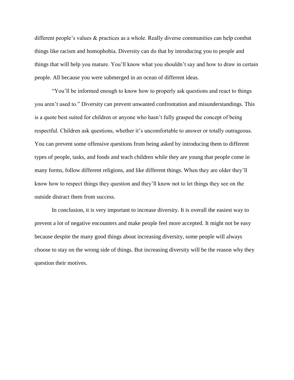different people's values & practices as a whole. Really diverse communities can help combat things like racism and homophobia. Diversity can do that by introducing you to people and things that will help you mature. You'll know what you shouldn't say and how to draw in certain people. All because you were submerged in an ocean of different ideas.

"You'll be informed enough to know how to properly ask questions and react to things you aren't used to." Diversity can prevent unwanted confrontation and misunderstandings. This is a quote best suited for children or anyone who hasn't fully grasped the concept of being respectful. Children ask questions, whether it's uncomfortable to answer or totally outrageous. You can prevent some offensive questions from being asked by introducing them to different types of people, tasks, and foods and teach children while they are young that people come in many forms, follow different religions, and like different things. When they are older they'll know how to respect things they question and they'll know not to let things they see on the outside distract them from success.

In conclusion, it is very important to increase diversity. It is overall the easiest way to prevent a lot of negative encounters and make people feel more accepted. It might not be easy because despite the many good things about increasing diversity, some people will always choose to stay on the wrong side of things. But increasing diversity will be the reason why they question their motives.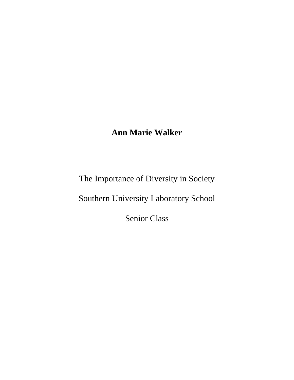# **Ann Marie Walker**

The Importance of Diversity in Society

Southern University Laboratory School

Senior Class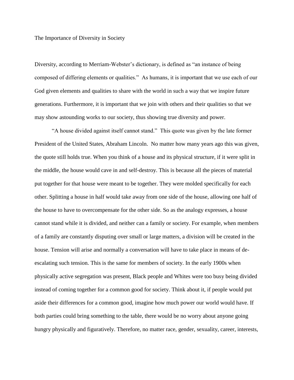The Importance of Diversity in Society

Diversity, according to Merriam-Webster's dictionary, is defined as "an instance of being composed of differing elements or qualities." As humans, it is important that we use each of our God given elements and qualities to share with the world in such a way that we inspire future generations. Furthermore, it is important that we join with others and their qualities so that we may show astounding works to our society, thus showing true diversity and power.

"A house divided against itself cannot stand." This quote was given by the late former President of the United States, Abraham Lincoln. No matter how many years ago this was given, the quote still holds true. When you think of a house and its physical structure, if it were split in the middle, the house would cave in and self-destroy. This is because all the pieces of material put together for that house were meant to be together. They were molded specifically for each other. Splitting a house in half would take away from one side of the house, allowing one half of the house to have to overcompensate for the other side. So as the analogy expresses, a house cannot stand while it is divided, and neither can a family or society. For example, when members of a family are constantly disputing over small or large matters, a division will be created in the house. Tension will arise and normally a conversation will have to take place in means of deescalating such tension. This is the same for members of society. In the early 1900s when physically active segregation was present, Black people and Whites were too busy being divided instead of coming together for a common good for society. Think about it, if people would put aside their differences for a common good, imagine how much power our world would have. If both parties could bring something to the table, there would be no worry about anyone going hungry physically and figuratively. Therefore, no matter race, gender, sexuality, career, interests,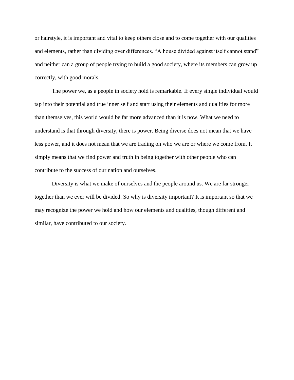or hairstyle, it is important and vital to keep others close and to come together with our qualities and elements, rather than dividing over differences. "A house divided against itself cannot stand" and neither can a group of people trying to build a good society, where its members can grow up correctly, with good morals.

The power we, as a people in society hold is remarkable. If every single individual would tap into their potential and true inner self and start using their elements and qualities for more than themselves, this world would be far more advanced than it is now. What we need to understand is that through diversity, there is power. Being diverse does not mean that we have less power, and it does not mean that we are trading on who we are or where we come from. It simply means that we find power and truth in being together with other people who can contribute to the success of our nation and ourselves.

Diversity is what we make of ourselves and the people around us. We are far stronger together than we ever will be divided. So why is diversity important? It is important so that we may recognize the power we hold and how our elements and qualities, though different and similar, have contributed to our society.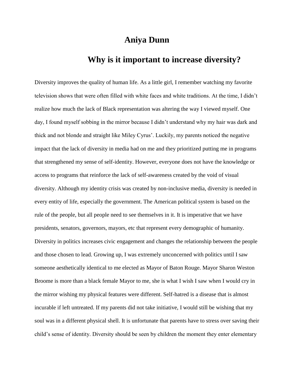## **Aniya Dunn**

## **Why is it important to increase diversity?**

Diversity improves the quality of human life. As a little girl, I remember watching my favorite television shows that were often filled with white faces and white traditions. At the time, I didn't realize how much the lack of Black representation was altering the way I viewed myself. One day, I found myself sobbing in the mirror because I didn't understand why my hair was dark and thick and not blonde and straight like Miley Cyrus'. Luckily, my parents noticed the negative impact that the lack of diversity in media had on me and they prioritized putting me in programs that strengthened my sense of self-identity. However, everyone does not have the knowledge or access to programs that reinforce the lack of self-awareness created by the void of visual diversity. Although my identity crisis was created by non-inclusive media, diversity is needed in every entity of life, especially the government. The American political system is based on the rule of the people, but all people need to see themselves in it. It is imperative that we have presidents, senators, governors, mayors, etc that represent every demographic of humanity. Diversity in politics increases civic engagement and changes the relationship between the people and those chosen to lead. Growing up, I was extremely unconcerned with politics until I saw someone aesthetically identical to me elected as Mayor of Baton Rouge. Mayor Sharon Weston Broome is more than a black female Mayor to me, she is what I wish I saw when I would cry in the mirror wishing my physical features were different. Self-hatred is a disease that is almost incurable if left untreated. If my parents did not take initiative, I would still be wishing that my soul was in a different physical shell. It is unfortunate that parents have to stress over saving their child's sense of identity. Diversity should be seen by children the moment they enter elementary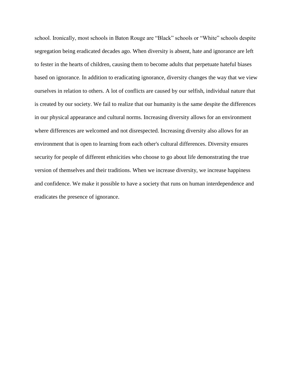school. Ironically, most schools in Baton Rouge are "Black" schools or "White" schools despite segregation being eradicated decades ago. When diversity is absent, hate and ignorance are left to fester in the hearts of children, causing them to become adults that perpetuate hateful biases based on ignorance. In addition to eradicating ignorance, diversity changes the way that we view ourselves in relation to others. A lot of conflicts are caused by our selfish, individual nature that is created by our society. We fail to realize that our humanity is the same despite the differences in our physical appearance and cultural norms. Increasing diversity allows for an environment where differences are welcomed and not disrespected. Increasing diversity also allows for an environment that is open to learning from each other's cultural differences. Diversity ensures security for people of different ethnicities who choose to go about life demonstrating the true version of themselves and their traditions. When we increase diversity, we increase happiness and confidence. We make it possible to have a society that runs on human interdependence and eradicates the presence of ignorance.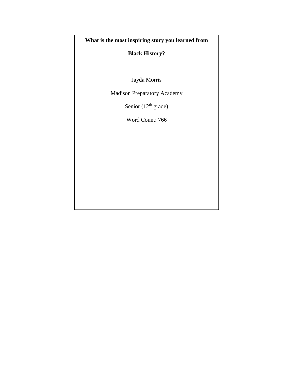### **What is the most inspiring story you learned from**

### **Black History?**

Jayda Morris

Madison Preparatory Academy

Senior (12<sup>th</sup> grade)

Word Count: 766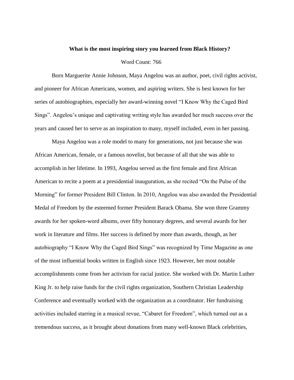#### **What is the most inspiring story you learned from Black History?**

#### Word Count: 766

Born Marguerite Annie Johnson, Maya Angelou was an author, poet, civil rights activist, and pioneer for African Americans, women, and aspiring writers. She is best known for her series of autobiographies, especially her award-winning novel "I Know Why the Caged Bird Sings". Angelou's unique and captivating writing style has awarded her much success over the years and caused her to serve as an inspiration to many, myself included, even in her passing.

Maya Angelou was a role model to many for generations, not just because she was African American, female, or a famous novelist, but because of all that she was able to accomplish in her lifetime. In 1993, Angelou served as the first female and first African American to recite a poem at a presidential inauguration, as she recited "On the Pulse of the Morning" for former President Bill Clinton. In 2010, Angelou was also awarded the Presidential Medal of Freedom by the esteemed former President Barack Obama. She won three Grammy awards for her spoken-word albums, over fifty honorary degrees, and several awards for her work in literature and films. Her success is defined by more than awards, though, as her autobiography "I Know Why the Caged Bird Sings" was recognized by Time Magazine as one of the most influential books written in English since 1923. However, her most notable accomplishments come from her activism for racial justice. She worked with Dr. Martin Luther King Jr. to help raise funds for the civil rights organization, Southern Christian Leadership Conference and eventually worked with the organization as a coordinator. Her fundraising activities included starring in a musical revue, "Cabaret for Freedom", which turned out as a tremendous success, as it brought about donations from many well-known Black celebrities,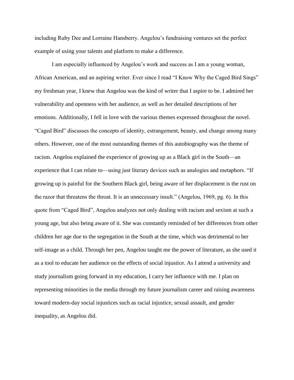including Ruby Dee and Lorraine Hansberry. Angelou's fundraising ventures set the perfect example of using your talents and platform to make a difference.

I am especially influenced by Angelou's work and success as I am a young woman, African American, and an aspiring writer. Ever since I read "I Know Why the Caged Bird Sings" my freshman year, I knew that Angelou was the kind of writer that I aspire to be. I admired her vulnerability and openness with her audience, as well as her detailed descriptions of her emotions. Additionally, I fell in love with the various themes expressed throughout the novel. "Caged Bird" discusses the concepts of identity, estrangement, beauty, and change among many others. However, one of the most outstanding themes of this autobiography was the theme of racism. Angelou explained the experience of growing up as a Black girl in the South—an experience that I can relate to—using just literary devices such as analogies and metaphors. "If growing up is painful for the Southern Black girl, being aware of her displacement is the rust on the razor that threatens the throat. It is an unnecessary insult." (Angelou, 1969, pg. 6). In this quote from "Caged Bird", Angelou analyzes not only dealing with racism and sexism at such a young age, but also being aware of it. She was constantly reminded of her differences from other children her age due to the segregation in the South at the time, which was detrimental to her self-image as a child. Through her pen, Angelou taught me the power of literature, as she used it as a tool to educate her audience on the effects of social injustice. As I attend a university and study journalism going forward in my education, I carry her influence with me. I plan on representing minorities in the media through my future journalism career and raising awareness toward modern-day social injustices such as racial injustice, sexual assault, and gender inequality, as Angelou did.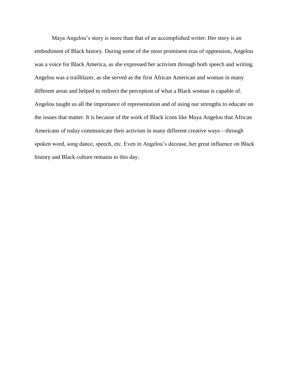Maya Angelou's story is more than that of an accomplished writer. Her story is an embodiment of Black history. During some of the most prominent eras of oppression, Angelou was a voice for Black America, as she expressed her activism through both speech and writing. Angelou was a trailblazer, as she served as the first African American and woman in many different areas and helped to redirect the perception of what a Black woman is capable of. Angelou taught us all the importance of representation and of using our strengths to educate on the issues that matter. It is because of the work of Black icons like Maya Angelou that African Americans of today communicate their activism in many different creative ways—through spoken word, song dance, speech, etc. Even in Angelou's decease, her great influence on Black history and Black culture remains to this day.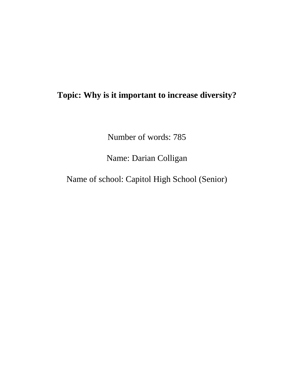# **Topic: Why is it important to increase diversity?**

Number of words: 785

Name: Darian Colligan

Name of school: Capitol High School (Senior)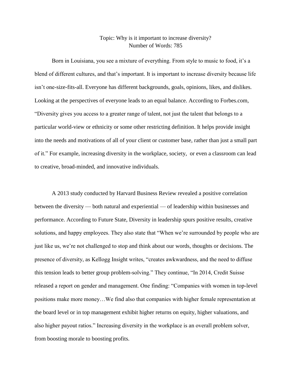#### Topic: Why is it important to increase diversity? Number of Words: 785

Born in Louisiana, you see a mixture of everything. From style to music to food, it's a blend of different cultures, and that's important. It is important to increase diversity because life isn't one-size-fits-all. Everyone has different backgrounds, goals, opinions, likes, and dislikes. Looking at the perspectives of everyone leads to an equal balance. According to Forbes.com, "Diversity gives you access to a greater range of talent, not just the talent that belongs to a particular world-view or ethnicity or some other restricting definition. It helps provide insight into the needs and motivations of all of your client or customer base, rather than just a small part of it." For example, increasing diversity in the workplace, society, or even a classroom can lead to creative, broad-minded, and innovative individuals.

A 2013 study conducted by Harvard Business Review revealed a positive correlation between the diversity — both natural and experiential — of leadership within businesses and performance. According to Future State, Diversity in leadership spurs positive results, creative solutions, and happy employees. They also state that "When we're surrounded by people who are just like us, we're not challenged to stop and think about our words, thoughts or decisions. The presence of diversity, as Kellogg Insight writes, "creates awkwardness, and the need to diffuse this tension leads to better group problem-solving." They continue, "In 2014, Credit Suisse released a report on gender and management. One finding: "Companies with women in top-level positions make more money…We find also that companies with higher female representation at the board level or in top management exhibit higher returns on equity, higher valuations, and also higher payout ratios." Increasing diversity in the workplace is an overall problem solver, from boosting morale to boosting profits.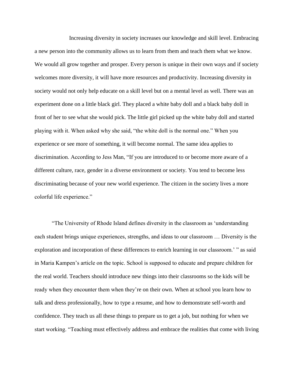Increasing diversity in society increases our knowledge and skill level. Embracing a new person into the community allows us to learn from them and teach them what we know. We would all grow together and prosper. Every person is unique in their own ways and if society welcomes more diversity, it will have more resources and productivity. Increasing diversity in society would not only help educate on a skill level but on a mental level as well. There was an experiment done on a little black girl. They placed a white baby doll and a black baby doll in front of her to see what she would pick. The little girl picked up the white baby doll and started playing with it. When asked why she said, "the white doll is the normal one." When you experience or see more of something, it will become normal. The same idea applies to discrimination. According to Jess Man, "If you are introduced to or become more aware of a different culture, race, gender in a diverse environment or society. You tend to become less discriminating because of your new world experience. The citizen in the society lives a more colorful life experience."

"The University of Rhode Island defines diversity in the classroom as 'understanding each student brings unique experiences, strengths, and ideas to our classroom … Diversity is the exploration and incorporation of these differences to enrich learning in our classroom.' " as said in Maria Kampen's article on the topic. School is supposed to educate and prepare children for the real world. Teachers should introduce new things into their classrooms so the kids will be ready when they encounter them when they're on their own. When at school you learn how to talk and dress professionally, how to type a resume, and how to demonstrate self-worth and confidence. They teach us all these things to prepare us to get a job, but nothing for when we start working. "Teaching must effectively address and embrace the realities that come with living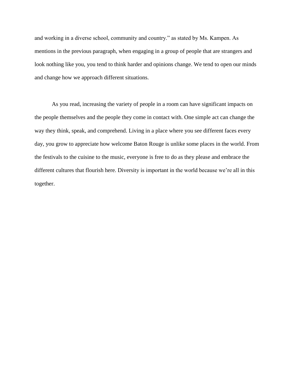and working in a diverse school, community and country." as stated by Ms. Kampen. As mentions in the previous paragraph, when engaging in a group of people that are strangers and look nothing like you, you tend to think harder and opinions change. We tend to open our minds and change how we approach different situations.

As you read, increasing the variety of people in a room can have significant impacts on the people themselves and the people they come in contact with. One simple act can change the way they think, speak, and comprehend. Living in a place where you see different faces every day, you grow to appreciate how welcome Baton Rouge is unlike some places in the world. From the festivals to the cuisine to the music, everyone is free to do as they please and embrace the different cultures that flourish here. Diversity is important in the world because we're all in this together.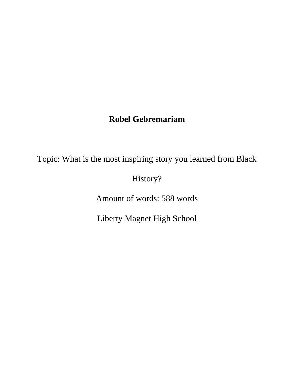# **Robel Gebremariam**

Topic: What is the most inspiring story you learned from Black

History?

Amount of words: 588 words

Liberty Magnet High School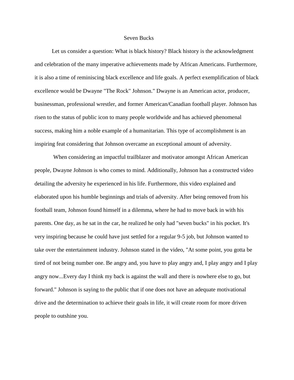#### Seven Bucks

Let us consider a question: What is black history? Black history is the acknowledgment and celebration of the many imperative achievements made by African Americans. Furthermore, it is also a time of reminiscing black excellence and life goals. A perfect exemplification of black excellence would be Dwayne "The Rock" Johnson." Dwayne is an American actor, producer, businessman, professional wrestler, and former American/Canadian football player. Johnson has risen to the status of public icon to many people worldwide and has achieved phenomenal success, making him a noble example of a humanitarian. This type of accomplishment is an inspiring feat considering that Johnson overcame an exceptional amount of adversity.

 When considering an impactful trailblazer and motivator amongst African American people, Dwayne Johnson is who comes to mind. Additionally, Johnson has a constructed video detailing the adversity he experienced in his life. Furthermore, this video explained and elaborated upon his humble beginnings and trials of adversity. After being removed from his football team, Johnson found himself in a dilemma, where he had to move back in with his parents. One day, as he sat in the car, he realized he only had "seven bucks" in his pocket. It's very inspiring because he could have just settled for a regular 9-5 job, but Johnson wanted to take over the entertainment industry. Johnson stated in the video, "At some point, you gotta be tired of not being number one. Be angry and, you have to play angry and, I play angry and I play angry now...Every day I think my back is against the wall and there is nowhere else to go, but forward." Johnson is saying to the public that if one does not have an adequate motivational drive and the determination to achieve their goals in life, it will create room for more driven people to outshine you.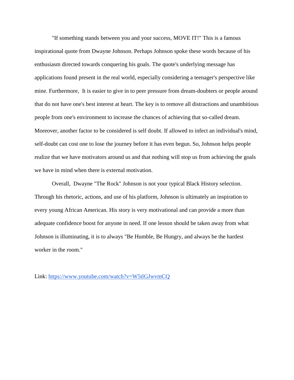"If something stands between you and your success, MOVE IT!" This is a famous inspirational quote from Dwayne Johnson. Perhaps Johnson spoke these words because of his enthusiasm directed towards conquering his goals. The quote's underlying message has applications found present in the real world, especially considering a teenager's perspective like mine. Furthermore, It is easier to give in to peer pressure from dream-doubters or people around that do not have one's best interest at heart. The key is to remove all distractions and unambitious people from one's environment to increase the chances of achieving that so-called dream. Moreover, another factor to be considered is self doubt. If allowed to infect an individual's mind, self-doubt can cost one to lose the journey before it has even begun. So, Johnson helps people realize that we have motivators around us and that nothing will stop us from achieving the goals we have in mind when there is external motivation.

Overall, Dwayne "The Rock" Johnson is not your typical Black History selection. Through his rhetoric, actions, and use of his platform, Johnson is ultimately an inspiration to every young African American. His story is very motivational and can provide a more than adequate confidence boost for anyone in need. If one lesson should be taken away from what Johnson is illuminating, it is to always "Be Humble, Be Hungry, and always be the hardest worker in the room."

Link:<https://www.youtube.com/watch?v=W5tlGJwvmCQ>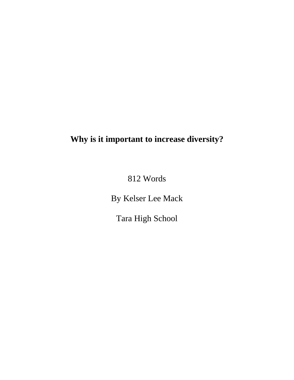# **Why is it important to increase diversity?**

812 Words

By Kelser Lee Mack

Tara High School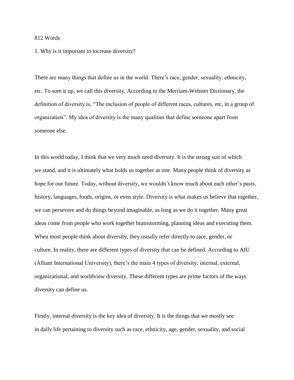#### 812 Words

1. Why is it important to increase diversity?

There are many things that define us in the world. There's race, gender, sexuality, ethnicity, etc. To sum it up, we call this diversity. According to the Merriam-Webster Dictionary, the definition of diversity is, "The inclusion of people of different races, cultures, etc, in a group of organization". My idea of diversity is the many qualities that define someone apart from someone else.

In this world today, I think that we very much need diversity. It is the strong suit of which we stand, and it is ultimately what holds us together as one. Many people think of diversity as hope for our future. Today, without diversity, we wouldn't know much about each other's pasts, history, languages, foods, origins, or even style. Diversity is what makes us believe that together, we can persevere and do things beyond imaginable, as long as we do it together. Many great ideas come from people who work together brainstorming, planning ideas and executing them. When most people think about diversity, they usually refer directly to race, gender, or culture. In reality, there are different types of diversity that can be defined. According to AIU (Alliant International University), there's the main 4 types of diversity; internal, external, organizational, and worldview diversity. These different types are prime factors of the ways diversity can define us.

Firstly, internal diversity is the key idea of diversity. It is the things that we mostly see in daily life pertaining to diversity such as race, ethnicity, age, gender, sexuality, and social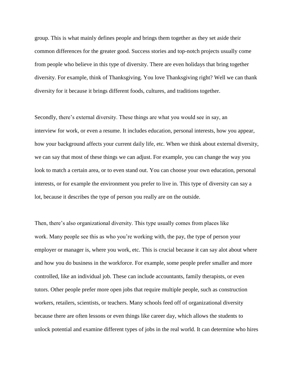group. This is what mainly defines people and brings them together as they set aside their common differences for the greater good. Success stories and top-notch projects usually come from people who believe in this type of diversity. There are even holidays that bring together diversity. For example, think of Thanksgiving. You love Thanksgiving right? Well we can thank diversity for it because it brings different foods, cultures, and traditions together.

Secondly, there's external diversity. These things are what you would see in say, an interview for work, or even a resume. It includes education, personal interests, how you appear, how your background affects your current daily life, etc. When we think about external diversity, we can say that most of these things we can adjust. For example, you can change the way you look to match a certain area, or to even stand out. You can choose your own education, personal interests, or for example the environment you prefer to live in. This type of diversity can say a lot, because it describes the type of person you really are on the outside.

Then, there's also organizational diversity. This type usually comes from places like work. Many people see this as who you're working with, the pay, the type of person your employer or manager is, where you work, etc. This is crucial because it can say alot about where and how you do business in the workforce. For example, some people prefer smaller and more controlled, like an individual job. These can include accountants, family therapists, or even tutors. Other people prefer more open jobs that require multiple people, such as construction workers, retailers, scientists, or teachers. Many schools feed off of organizational diversity because there are often lessons or even things like career day, which allows the students to unlock potential and examine different types of jobs in the real world. It can determine who hires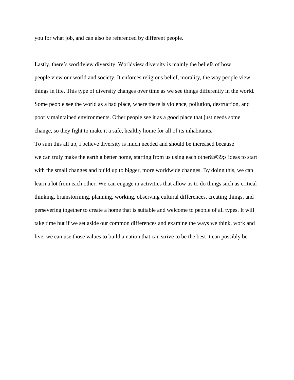you for what job, and can also be referenced by different people.

Lastly, there's worldview diversity. Worldview diversity is mainly the beliefs of how people view our world and society. It enforces religious belief, morality, the way people view things in life. This type of diversity changes over time as we see things differently in the world. Some people see the world as a bad place, where there is violence, pollution, destruction, and poorly maintained environments. Other people see it as a good place that just needs some change, so they fight to make it a safe, healthy home for all of its inhabitants. To sum this all up, I believe diversity is much needed and should be increased because we can truly make the earth a better home, starting from us using each other $&\#39$ ; ideas to start with the small changes and build up to bigger, more worldwide changes. By doing this, we can learn a lot from each other. We can engage in activities that allow us to do things such as critical thinking, brainstorming, planning, working, observing cultural differences, creating things, and persevering together to create a home that is suitable and welcome to people of all types. It will take time but if we set aside our common differences and examine the ways we think, work and live, we can use those values to build a nation that can strive to be the best it can possibly be.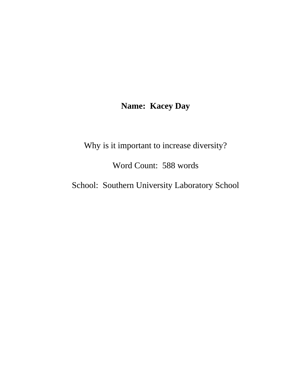## **Name: Kacey Day**

Why is it important to increase diversity?

Word Count: 588 words

School: Southern University Laboratory School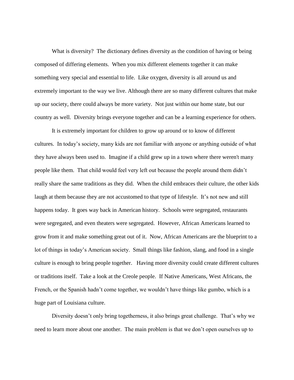What is diversity? The dictionary defines diversity as the condition of having or being composed of differing elements. When you mix different elements together it can make something very special and essential to life. Like oxygen, diversity is all around us and extremely important to the way we live. Although there are so many different cultures that make up our society, there could always be more variety. Not just within our home state, but our country as well. Diversity brings everyone together and can be a learning experience for others.

It is extremely important for children to grow up around or to know of different cultures. In today's society, many kids are not familiar with anyone or anything outside of what they have always been used to. Imagine if a child grew up in a town where there weren't many people like them. That child would feel very left out because the people around them didn't really share the same traditions as they did. When the child embraces their culture, the other kids laugh at them because they are not accustomed to that type of lifestyle. It's not new and still happens today. It goes way back in American history. Schools were segregated, restaurants were segregated, and even theaters were segregated. However, African Americans learned to grow from it and make something great out of it. Now, African Americans are the blueprint to a lot of things in today's American society. Small things like fashion, slang, and food in a single culture is enough to bring people together. Having more diversity could create different cultures or traditions itself. Take a look at the Creole people. If Native Americans, West Africans, the French, or the Spanish hadn't come together, we wouldn't have things like gumbo, which is a huge part of Louisiana culture.

Diversity doesn't only bring togetherness, it also brings great challenge. That's why we need to learn more about one another. The main problem is that we don't open ourselves up to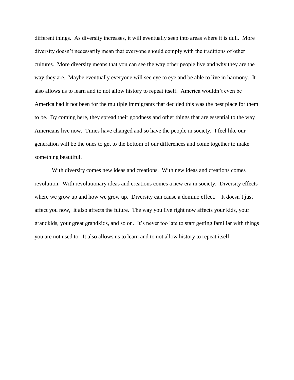different things. As diversity increases, it will eventually seep into areas where it is dull. More diversity doesn't necessarily mean that everyone should comply with the traditions of other cultures. More diversity means that you can see the way other people live and why they are the way they are. Maybe eventually everyone will see eye to eye and be able to live in harmony. It also allows us to learn and to not allow history to repeat itself. America wouldn't even be America had it not been for the multiple immigrants that decided this was the best place for them to be. By coming here, they spread their goodness and other things that are essential to the way Americans live now. Times have changed and so have the people in society. I feel like our generation will be the ones to get to the bottom of our differences and come together to make something beautiful.

With diversity comes new ideas and creations. With new ideas and creations comes revolution. With revolutionary ideas and creations comes a new era in society. Diversity effects where we grow up and how we grow up. Diversity can cause a domino effect. It doesn't just affect you now, it also affects the future. The way you live right now affects your kids, your grandkids, your great grandkids, and so on. It's never too late to start getting familiar with things you are not used to. It also allows us to learn and to not allow history to repeat itself.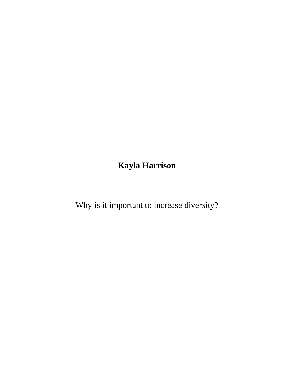**Kayla Harrison** 

Why is it important to increase diversity?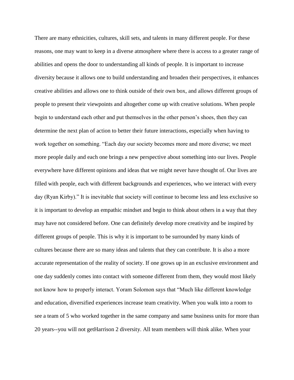There are many ethnicities, cultures, skill sets, and talents in many different people. For these reasons, one may want to keep in a diverse atmosphere where there is access to a greater range of abilities and opens the door to understanding all kinds of people. It is important to increase diversity because it allows one to build understanding and broaden their perspectives, it enhances creative abilities and allows one to think outside of their own box, and allows different groups of people to present their viewpoints and altogether come up with creative solutions. When people begin to understand each other and put themselves in the other person's shoes, then they can determine the next plan of action to better their future interactions, especially when having to work together on something. "Each day our society becomes more and more diverse; we meet more people daily and each one brings a new perspective about something into our lives. People everywhere have different opinions and ideas that we might never have thought of. Our lives are filled with people, each with different backgrounds and experiences, who we interact with every day (Ryan Kirby)." It is inevitable that society will continue to become less and less exclusive so it is important to develop an empathic mindset and begin to think about others in a way that they may have not considered before. One can definitely develop more creativity and be inspired by different groups of people. This is why it is important to be surrounded by many kinds of cultures because there are so many ideas and talents that they can contribute. It is also a more accurate representation of the reality of society. If one grows up in an exclusive environment and one day suddenly comes into contact with someone different from them, they would most likely not know how to properly interact. Yoram Solomon says that "Much like different knowledge and education, diversified experiences increase team creativity. When you walk into a room to see a team of 5 who worked together in the same company and same business units for more than 20 years--you will not getHarrison 2 diversity. All team members will think alike. When your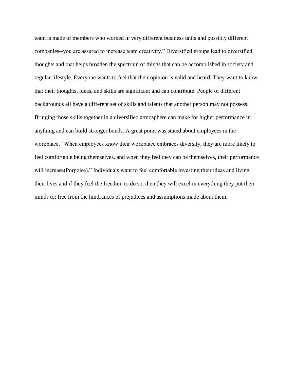team is made of members who worked in very different business units and possibly different companies--you are assured to increase team creativity." Diversified groups lead to diversified thoughts and that helps broaden the spectrum of things that can be accomplished in society and regular lifestyle. Everyone wants to feel that their opinion is valid and heard. They want to know that their thoughts, ideas, and skills are significant and can contribute. People of different backgrounds all have a different set of skills and talents that another person may not possess. Bringing those skills together in a diversified atmosphere can make for higher performance in anything and can build stronger bonds. A great point was stated about employees in the workplace, "When employees know their workplace embraces diversity, they are more likely to feel comfortable being themselves, and when they feel they can be themselves, their performance will increase(Porpoise)." Individuals want to feel comfortable investing their ideas and living their lives and if they feel the freedom to do so, then they will excel in everything they put their minds to; free from the hindrances of prejudices and assumptions made about them.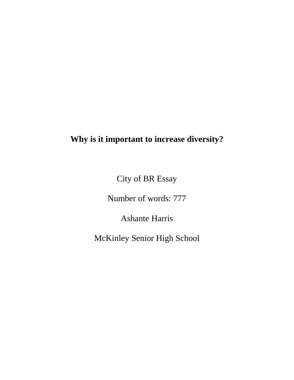# **Why is it important to increase diversity?**

City of BR Essay

Number of words: 777

Ashante Harris

McKinley Senior High School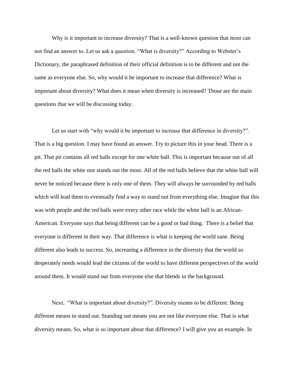Why is it important to increase diversity? That is a well-known question that most can not find an answer to. Let us ask a question. "What is diversity?" According to Webster's Dictionary, the paraphrased definition of their official definition is to be different and not the same as everyone else. So, why would it be important to increase that difference? What is important about diversity? What does it mean when diversity is increased? Those are the main questions that we will be discussing today.

Let us start with "why would it be important to increase that difference in diversity?". That is a big question. I may have found an answer. Try to picture this in your head. There is a pit. That pit contains all red balls except for one white ball. This is important because out of all the red balls the white one stands out the most. All of the red balls believe that the white ball will never be noticed because there is only one of them. They will always be surrounded by red balls which will lead them to eventually find a way to stand out from everything else. Imagine that this was with people and the red balls were every other race while the white ball is an African-American. Everyone says that being different can be a good or bad thing. There is a belief that everyone is different in their way. That difference is what is keeping the world sane. Being different also leads to success. So, increasing a difference in the diversity that the world so desperately needs would lead the citizens of the world to have different perspectives of the world around them. It would stand out from everyone else that blends in the background.

Next, "What is important about diversity?". Diversity means to be different. Being different means to stand out. Standing out means you are not like everyone else. That is what diversity means. So, what is so important about that difference? I will give you an example. In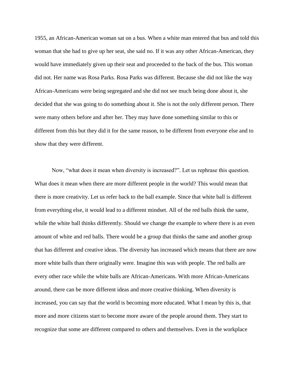1955, an African-American woman sat on a bus. When a white man entered that bus and told this woman that she had to give up her seat, she said no. If it was any other African-American, they would have immediately given up their seat and proceeded to the back of the bus. This woman did not. Her name was Rosa Parks. Rosa Parks was different. Because she did not like the way African-Americans were being segregated and she did not see much being done about it, she decided that she was going to do something about it. She is not the only different person. There were many others before and after her. They may have done something similar to this or different from this but they did it for the same reason, to be different from everyone else and to show that they were different.

Now, "what does it mean when diversity is increased?". Let us rephrase this question. What does it mean when there are more different people in the world? This would mean that there is more creativity. Let us refer back to the ball example. Since that white ball is different from everything else, it would lead to a different mindset. All of the red balls think the same, while the white ball thinks differently. Should we change the example to where there is an even amount of white and red balls. There would be a group that thinks the same and another group that has different and creative ideas. The diversity has increased which means that there are now more white balls than there originally were. Imagine this was with people. The red balls are every other race while the white balls are African-Americans. With more African-Americans around, there can be more different ideas and more creative thinking. When diversity is increased, you can say that the world is becoming more educated. What I mean by this is, that more and more citizens start to become more aware of the people around them. They start to recognize that some are different compared to others and themselves. Even in the workplace